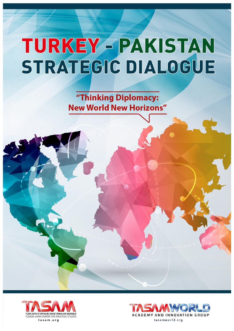"Thinking Diplomacy: **New World New Horizons"** 



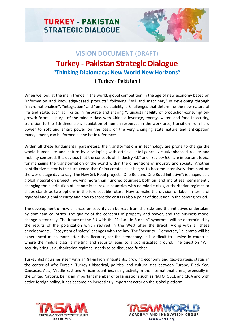

# **VISION DOCUMENT** (DRAFT) **Turkey - Pakistan Strategic Dialogue "Thinking Diplomacy: New World New Horizons"**

## **( Turkey - Pakistan )**

When we look at the main trends in the world, global competition in the age of new economy based on "information and knowledge-based products" following "soil and machinery" is developing through "micro-nationalism", "integration" and "unpredictability''. Challenges that determine the new nature of life and state; such as " crisis in resource and sharing ", unsustainability of production-consumptiongrowth formula, purge of the middle class with Chinese leverage, energy, water, and food insecurity, transition to the 4th dimension, liquidation of human resources in the workforce, transition from hard power to soft and smart power on the basis of the very changing state nature and anticipation management, can be formed as the basic references.

Within all these fundamental parameters, the transformations in technology are prone to change the whole human life and nature by developing with artificial intelligence, virtual/enhanced reality and mobility centered. It is obvious that the concepts of "Industry 4.0" and "Society 5.0" are important topics for managing the transformation of the world within the dimensions of industry and society. Another contributive factor is the turbulence that China creates as it begins to become intensively dominant on the world stage day to day. The New Silk Road project, "One Belt and One Road Initiative"; is shaped as a global integration project involving more than hundred countries, both on land and at sea, permanently changing the distribution of economic shares. In countries with no middle class, authoritarian regimes or chaos stands as two options in the fore-seeable future. How to make the division of labor in terms of regional and global security and how to share the costs is also a point of discussion in the coming period.

The development of new alliances on security can be read from the risks and the initiatives undertaken by dominant countries. The quality of the concepts of property and power, and the business model change historically. The future of the EU with the "Failure in Success" syndrome will be determined by the results of the polarization which revived in the West after the Brexit. Along with all these developments, "Ecosystem of safety" changes with the law. The "Security - Democracy" dilemma will be experienced much more after that. Because, for the democracy, it is difficult to survive in countries where the middle class is melting and security leans to a sophisticated ground. The question "Will security bring us authoritarian regimes" needs to be discussed further.

Turkey distinguishes itself with an 84-million inhabitants, growing economy and geo-strategic status in the center of Afro-Eurasia. Turkey's historical, political and cultural ties between Europe, Black Sea, Caucasus, Asia, Middle East and African countries, rising activity in the international arena, especially in the United Nations, being an important member of organizations such as NATO, OSCE and CICA and with active foreign policy, it has become an increasingly important actor on the global platform.



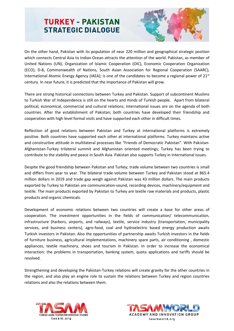

On the other hand, Pakistan with its population of near 220 million and geographical strategic position which connects Central Asia to Indian Ocean attracts the attention of the world. Pakistan, as member of United Nations (UN), Organization of Islamic Cooperation (OIC), Economic Cooperation Organization (ECO), D-8, Commonwealth of Nations, South Asian Association for Regional Cooperation (SAARC), International Atomic Energy Agency (IAEA); is one of the candidates to become a regional power of 21<sup>st</sup> century. In near future, it is predicted that the importance of Pakistan will grow.

There are strong historical connections between Turkey and Pakistan. Support of subcontinent Muslims to Turkish War of Independence is still on the hearts and minds of Turkish people. Apart from bilateral political, economical, commercial and cultural relations; international issues are on the agenda of both countries. After the establishment of Pakistan; both countries have developed their friendship and cooperation with high level formal visits and have supported each other in difficult times.

Reflection of good relations between Pakistan and Turkey at international platforms is extremely positive. Both countries have supported each other at international platforms. Turkey maintains active and constructive attitude in multilateral processes like "Friends of Democratic Pakistan". With Pakistan-Afghanistan-Turkey trilateral summit and Afghanistan oriented meetings; Turkey has been trying to contribute to the stability and peace in South Asia. Pakistan also supports Turkey in international issues.

Despite the good friendship between Pakistan and Turkey; trade volume between two countries is small and differs from year to year. The bilateral trade volume between Turkey and Pakistan stood at 865.4 million dollars in 2019 and trade gap weigh against Pakistan was 43 million dollars. The main products exported by Turkey to Pakistan are communication-sound, recording devices, machinery/equipment and textile. The main products exported by Pakistan to Turkey are textile raw materials and products, plastic products and organic chemicals.

Development of economic relations between two countries will create a base for other areas of cooperation. The investment opportunities in the fields of communication/ telecommunication, infrastructure (harbors, airports, and railways), textile, service industry (transportation, municipality services, and business centers), agro-food, coal and hydroelectric based energy production awaits Turkish investors in Pakistan. Also the opportunities of partnership awaits Turkish investors in the fields of furniture business, agricultural implementations, machinery spare parts, air conditioning , domestic appliances, textile machinery, shoes and tourism in Pakistan. In order to increase the economical interaction; the problems in transportation, banking system, quota applications and tariffs should be resolved.

Strengthening and developing the Pakistan-Turkey relations will create gravity for the other countries in the region, and also play an engine role to sustain the relations between Turkey and region countries relations and also the relations between them.



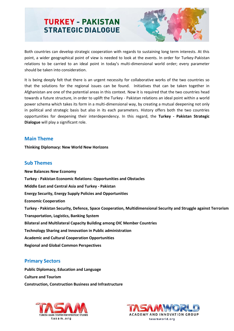

Both countries can develop strategic cooperation with regards to sustaining long term interests. At this point, a wider geographical point of view is needed to look at the events. In order for Turkey-Pakistan relations to be carried to an ideal point in today's multi-dimensional world order; every parameter should be taken into consideration.

It is being deeply felt that there is an urgent necessity for collaborative works of the two countries so that the solutions for the regional issues can be found. Initiatives that can be taken together in Afghanistan are one of the potential areas in this context. Now it is required that the two countries head towards a future structure, in order to uplift the Turkey - Pakistan relations an ideal point within a world power schema which takes its form in a multi-dimensional way, by creating a mutual deepening not only in political and strategic basis but also in its each parameters. History offers both the two countries opportunities for deepening their interdependency. In this regard, the **Turkey - Pakistan Strategic Dialogue** will play a significant role.

### **Main Theme**

**Thinking Diplomacy: New World New Horizons**

### **Sub Themes**

**New Balances New Economy Turkey - Pakistan Economic Relations: Opportunities and Obstacles Middle East and Central Asia and Turkey - Pakistan Energy Security, Energy Supply Policies and Opportunities Economic Cooperation Turkey - Pakistan Security, Defence, Space Cooperation, Multidimensional Security and Struggle against Terrorism Transportation, Logistics, Banking System Bilateral and Multilateral Capacity Building among OIC Member Countries Technology Sharing and Innovation in Public administration Academic and Cultural Cooperation Opportunities Regional and Global Common Perspectives**

## **Primary Sectors**

**Public Diplomacy, Education and Language Culture and Tourism Construction, Construction Business and Infrastructure**